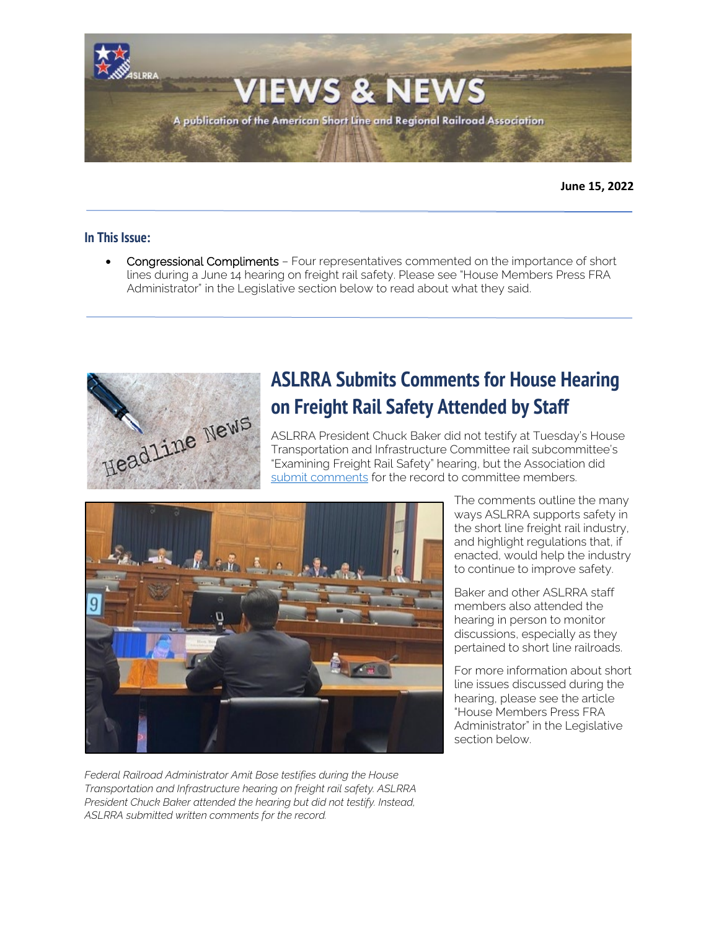

**June 15, 2022**

### **In This Issue:**

• Congressional Compliments – Four representatives commented on the importance of short lines during a June 14 hearing on freight rail safety. Please see "House Members Press FRA Administrator" in the Legislative section below to read about what they said.



# **ASLRRA Submits Comments for House Hearing on Freight Rail Safety Attended by Staff**

ASLRRA President Chuck Baker did not testify at Tuesday's House Transportation and Infrastructure Committee rail subcommittee's "Examining Freight Rail Safety" hearing, but the Association did [submit comments](https://www.aslrra.org/aslrra/document-server/?cfp=aslrra/assets/File/public/news/2022/Statement_of_Mr_Chuck_Baker_US_House_TI_Examining_Rail_Safety_June_14_2022.pdf) for the record to committee members.



*Federal Railroad Administrator Amit Bose testifies during the House Transportation and Infrastructure hearing on freight rail safety. ASLRRA President Chuck Baker attended the hearing but did not testify. Instead, ASLRRA submitted written comments for the record.*

The comments outline the many ways ASLRRA supports safety in the short line freight rail industry, and highlight regulations that, if enacted, would help the industry to continue to improve safety.

Baker and other ASLRRA staff members also attended the hearing in person to monitor discussions, especially as they pertained to short line railroads.

For more information about short line issues discussed during the hearing, please see the article "House Members Press FRA Administrator" in the Legislative section below.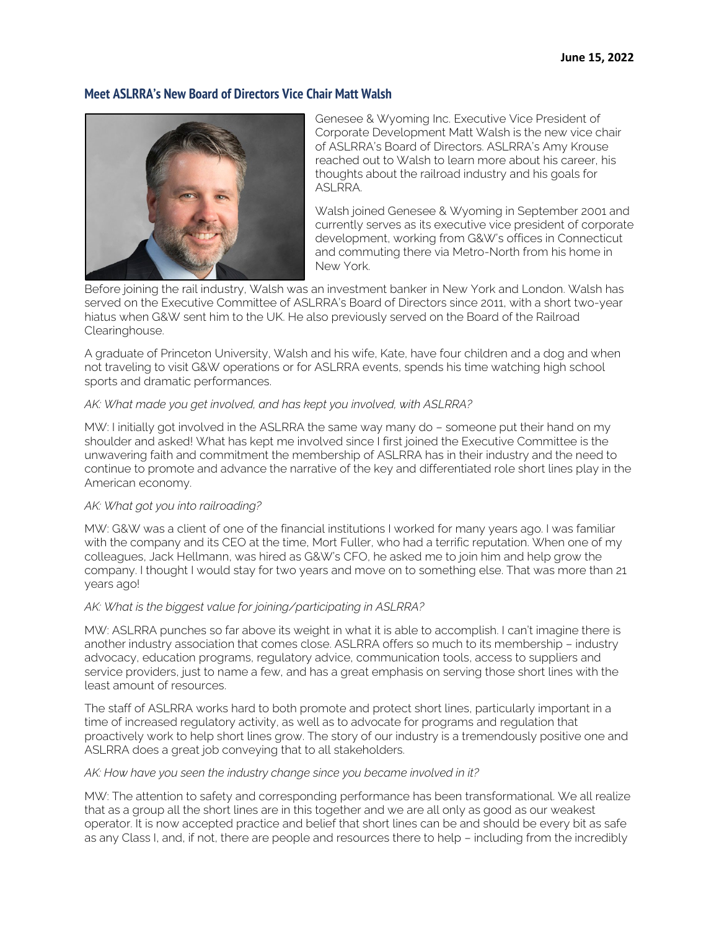# **Meet ASLRRA's New Board of Directors Vice Chair Matt Walsh**



Genesee & Wyoming Inc. Executive Vice President of Corporate Development Matt Walsh is the new vice chair of ASLRRA's Board of Directors. ASLRRA's Amy Krouse reached out to Walsh to learn more about his career, his thoughts about the railroad industry and his goals for ASLRRA.

Walsh joined Genesee & Wyoming in September 2001 and currently serves as its executive vice president of corporate development, working from G&W's offices in Connecticut and commuting there via Metro-North from his home in New York.

Before joining the rail industry, Walsh was an investment banker in New York and London. Walsh has served on the Executive Committee of ASLRRA's Board of Directors since 2011, with a short two-year hiatus when G&W sent him to the UK. He also previously served on the Board of the Railroad Clearinghouse.

A graduate of Princeton University, Walsh and his wife, Kate, have four children and a dog and when not traveling to visit G&W operations or for ASLRRA events, spends his time watching high school sports and dramatic performances.

#### *AK: What made you get involved, and has kept you involved, with ASLRRA?*

MW: I initially got involved in the ASLRRA the same way many do – someone put their hand on my shoulder and asked! What has kept me involved since I first joined the Executive Committee is the unwavering faith and commitment the membership of ASLRRA has in their industry and the need to continue to promote and advance the narrative of the key and differentiated role short lines play in the American economy.

### *AK: What got you into railroading?*

MW: G&W was a client of one of the financial institutions I worked for many years ago. I was familiar with the company and its CEO at the time, Mort Fuller, who had a terrific reputation. When one of my colleagues, Jack Hellmann, was hired as G&W's CFO, he asked me to join him and help grow the company. I thought I would stay for two years and move on to something else. That was more than 21 years ago!

### *AK: What is the biggest value for joining/participating in ASLRRA?*

MW: ASLRRA punches so far above its weight in what it is able to accomplish. I can't imagine there is another industry association that comes close. ASLRRA offers so much to its membership – industry advocacy, education programs, regulatory advice, communication tools, access to suppliers and service providers, just to name a few, and has a great emphasis on serving those short lines with the least amount of resources.

The staff of ASLRRA works hard to both promote and protect short lines, particularly important in a time of increased regulatory activity, as well as to advocate for programs and regulation that proactively work to help short lines grow. The story of our industry is a tremendously positive one and ASLRRA does a great job conveying that to all stakeholders.

#### *AK: How have you seen the industry change since you became involved in it?*

MW: The attention to safety and corresponding performance has been transformational. We all realize that as a group all the short lines are in this together and we are all only as good as our weakest operator. It is now accepted practice and belief that short lines can be and should be every bit as safe as any Class I, and, if not, there are people and resources there to help – including from the incredibly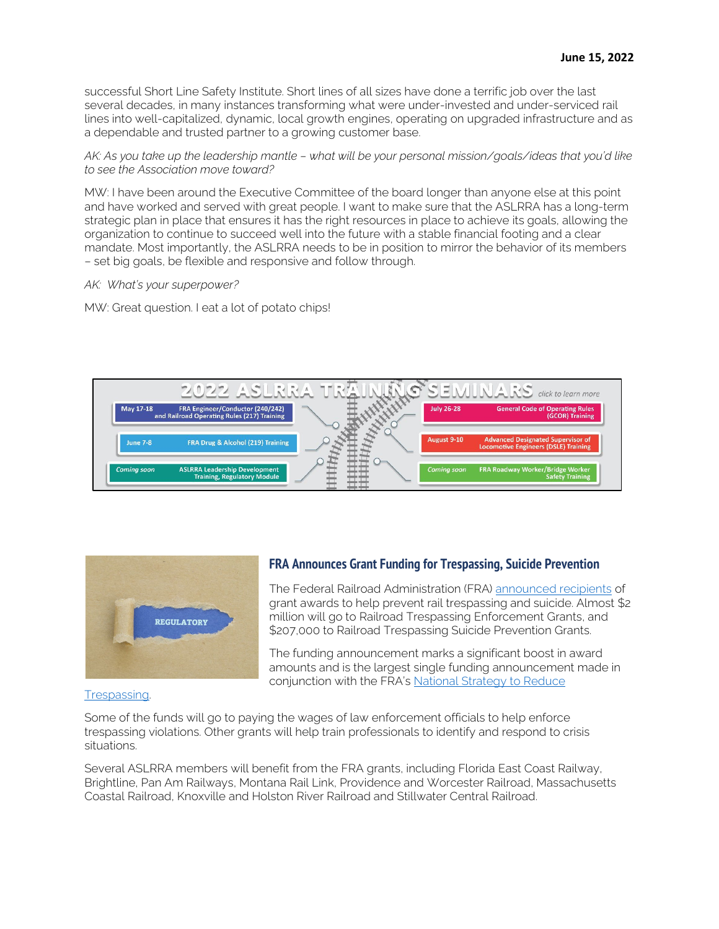successful Short Line Safety Institute. Short lines of all sizes have done a terrific job over the last several decades, in many instances transforming what were under-invested and under-serviced rail lines into well-capitalized, dynamic, local growth engines, operating on upgraded infrastructure and as a dependable and trusted partner to a growing customer base.

#### *AK: As you take up the leadership mantle – what will be your personal mission/goals/ideas that you'd like to see the Association move toward?*

MW: I have been around the Executive Committee of the board longer than anyone else at this point and have worked and served with great people. I want to make sure that the ASLRRA has a long-term strategic plan in place that ensures it has the right resources in place to achieve its goals, allowing the organization to continue to succeed well into the future with a stable financial footing and a clear mandate. Most importantly, the ASLRRA needs to be in position to mirror the behavior of its members – set big goals, be flexible and responsive and follow through.

#### *AK: What's your superpower?*

MW: Great question. I eat a lot of potato chips!





# **FRA Announces Grant Funding for Trespassing, Suicide Prevention**

The Federal Railroad Administration (FRA) [announced recipients](https://railroads.dot.gov/newsroom/press-releases/fra-boosts-funding-railroad-trespassing-enforcement-and-suicide-prevention) of grant awards to help prevent rail trespassing and suicide. Almost \$2 million will go to Railroad Trespassing Enforcement Grants, and \$207,000 to Railroad Trespassing Suicide Prevention Grants.

The funding announcement marks a significant boost in award amounts and is the largest single funding announcement made in conjunction with the FRA's National Strategy to Reduce

Some of the funds will go to paying the wages of law enforcement officials to help enforce trespassing violations. Other grants will help train professionals to identify and respond to crisis situations.

Several ASLRRA members will benefit from the FRA grants, including Florida East Coast Railway, Brightline, Pan Am Railways, Montana Rail Link, Providence and Worcester Railroad, Massachusetts Coastal Railroad, Knoxville and Holston River Railroad and Stillwater Central Railroad.

#### [Trespassing.](https://railroads.dot.gov/elibrary/national-strategy-prevent-trespassing-railroad-property)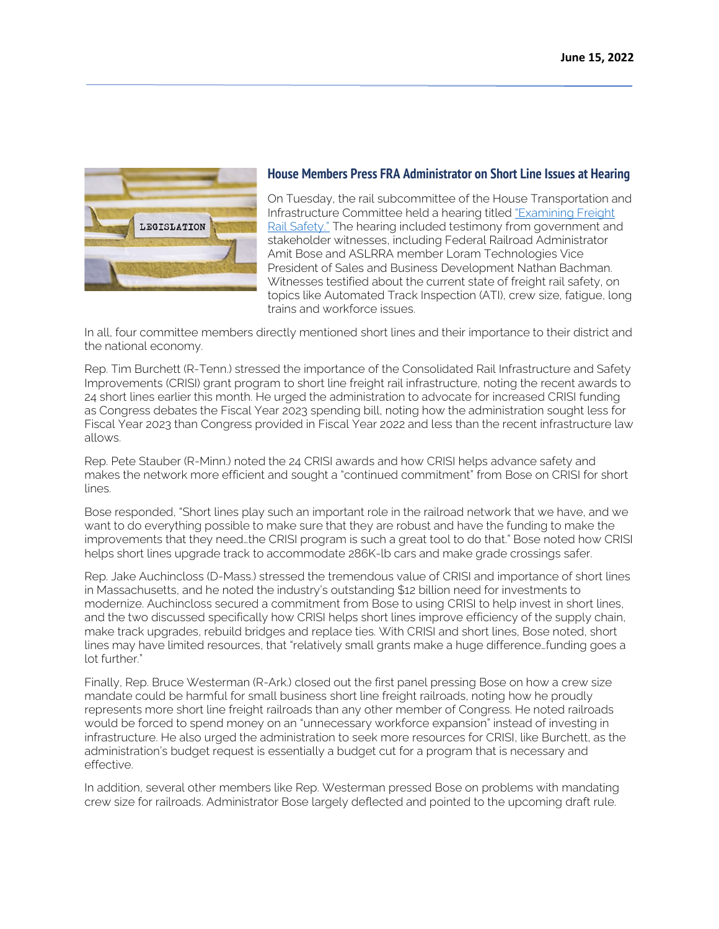

### **House Members Press FRA Administrator on Short Line Issues at Hearing**

On Tuesday, the rail subcommittee of the House Transportation and Infrastructure Committee held a hearing titled ["Examining Freight](https://transportation.house.gov/committee-activity/hearings/examining-freight-rail-safety)  [Rail Safety."](https://transportation.house.gov/committee-activity/hearings/examining-freight-rail-safety) The hearing included testimony from government and stakeholder witnesses, including Federal Railroad Administrator Amit Bose and ASLRRA member Loram Technologies Vice President of Sales and Business Development Nathan Bachman. Witnesses testified about the current state of freight rail safety, on topics like Automated Track Inspection (ATI), crew size, fatigue, long trains and workforce issues.

In all, four committee members directly mentioned short lines and their importance to their district and the national economy.

Rep. Tim Burchett (R-Tenn.) stressed the importance of the Consolidated Rail Infrastructure and Safety Improvements (CRISI) grant program to short line freight rail infrastructure, noting the recent awards to 24 short lines earlier this month. He urged the administration to advocate for increased CRISI funding as Congress debates the Fiscal Year 2023 spending bill, noting how the administration sought less for Fiscal Year 2023 than Congress provided in Fiscal Year 2022 and less than the recent infrastructure law allows.

Rep. Pete Stauber (R-Minn.) noted the 24 CRISI awards and how CRISI helps advance safety and makes the network more efficient and sought a "continued commitment" from Bose on CRISI for short lines.

Bose responded, "Short lines play such an important role in the railroad network that we have, and we want to do everything possible to make sure that they are robust and have the funding to make the improvements that they need…the CRISI program is such a great tool to do that." Bose noted how CRISI helps short lines upgrade track to accommodate 286K-lb cars and make grade crossings safer.

Rep. Jake Auchincloss (D-Mass.) stressed the tremendous value of CRISI and importance of short lines in Massachusetts, and he noted the industry's outstanding \$12 billion need for investments to modernize. Auchincloss secured a commitment from Bose to using CRISI to help invest in short lines, and the two discussed specifically how CRISI helps short lines improve efficiency of the supply chain, make track upgrades, rebuild bridges and replace ties. With CRISI and short lines, Bose noted, short lines may have limited resources, that "relatively small grants make a huge difference…funding goes a lot further."

Finally, Rep. Bruce Westerman (R-Ark.) closed out the first panel pressing Bose on how a crew size mandate could be harmful for small business short line freight railroads, noting how he proudly represents more short line freight railroads than any other member of Congress. He noted railroads would be forced to spend money on an "unnecessary workforce expansion" instead of investing in infrastructure. He also urged the administration to seek more resources for CRISI, like Burchett, as the administration's budget request is essentially a budget cut for a program that is necessary and effective.

In addition, several other members like Rep. Westerman pressed Bose on problems with mandating crew size for railroads. Administrator Bose largely deflected and pointed to the upcoming draft rule.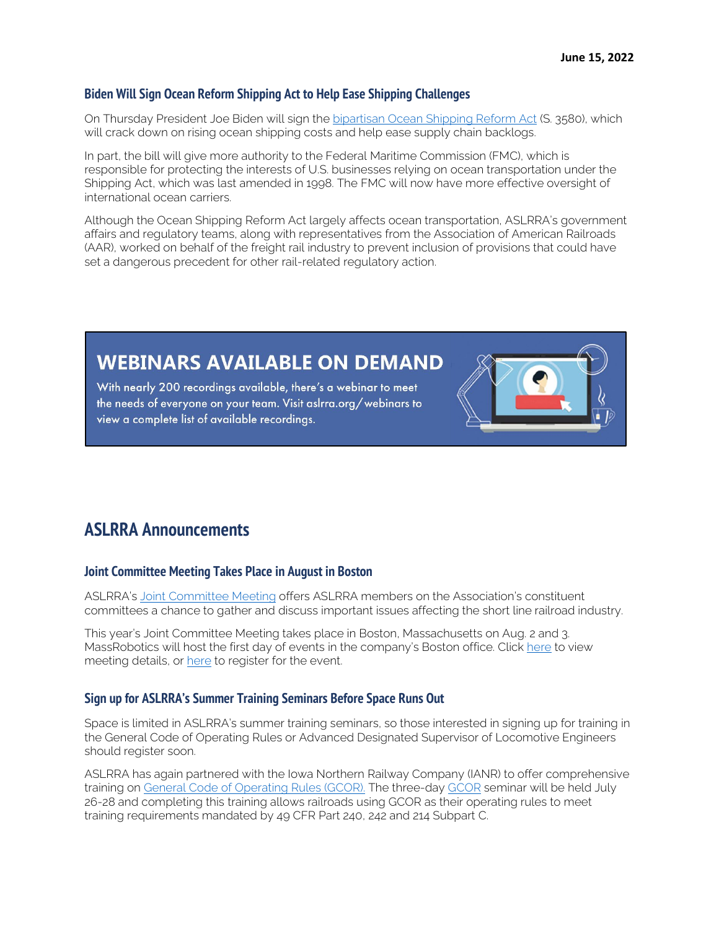# **Biden Will Sign Ocean Reform Shipping Act to Help Ease Shipping Challenges**

On Thursday President Joe Biden will sign th[e bipartisan Ocean Shipping Reform Act](https://www.commerce.senate.gov/2022/6/ocean-shipping-overhaul-bill-heads-to-president-s-desk) (S. 3580), which will crack down on rising ocean shipping costs and help ease supply chain backlogs.

In part, the bill will give more authority to the Federal Maritime Commission (FMC), which is responsible for protecting the interests of U.S. businesses relying on ocean transportation under the Shipping Act, which was last amended in 1998. The FMC will now have more effective oversight of international ocean carriers.

Although the Ocean Shipping Reform Act largely affects ocean transportation, ASLRRA's government affairs and regulatory teams, along with representatives from the Association of American Railroads (AAR), worked on behalf of the freight rail industry to prevent inclusion of provisions that could have set a dangerous precedent for other rail-related regulatory action.

# **WEBINARS AVAILABLE ON DEMAND**

With nearly 200 recordings available, there's a webinar to meet the needs of everyone on your team. Visit aslrra.org/webinars to view a complete list of available recordings.



### **Joint Committee Meeting Takes Place in August in Boston**

ASLRRA's [Joint Committee Meeting](https://www.aslrra.org/events/joint-committee-meeting/) offers ASLRRA members on the Association's constituent committees a chance to gather and discuss important issues affecting the short line railroad industry.

This year's Joint Committee Meeting takes place in Boston, Massachusetts on Aug. 2 and 3. MassRobotics will host the first day of events in the company's Boston office. Click [here](https://www.aslrra.org/aslrra/document-server/?cfp=aslrra/assets/File/public/events/2022-Joint-Committee-Meeting.pdf) to view meeting details, or [here](https://aslrra.force.com/s/login/?ec=302&inst=4W&startURL=%2Fidp%2Flogin%3Fapp%3D0sp4W000000wkde%26RelayState%3DaHR0cHM6Ly93d3cuYXNscnJhLm9yZy9ldmVudHMvam9pbnQtY29tbWl0dGVlLW1lZXRpbmcvcmVnaXN0ZXItbm93Lw%253D%253D%26binding%3DHttpPost%26inresponseto%3DASLRRA) to register for the event.

#### **Sign up for ASLRRA's Summer Training Seminars Before Space Runs Out**

Space is limited in ASLRRA's summer training seminars, so those interested in signing up for training in the General Code of Operating Rules or Advanced Designated Supervisor of Locomotive Engineers should register soon.

ASLRRA has again partnered with the Iowa Northern Railway Company (IANR) to offer comprehensive training on [General Code of Operating Rules \(GCOR\).](https://www.aslrra.org/education/training-seminars/comprehensive-general-code-of-operating-rules-gcor-training-seminar/) The three-day [GCOR](https://www.aslrra.org/education/training-seminars/comprehensive-general-code-of-operating-rules-gcor-training-seminar/) seminar will be held July 26-28 and completing this training allows railroads using GCOR as their operating rules to meet training requirements mandated by 49 CFR Part 240, 242 and 214 Subpart C.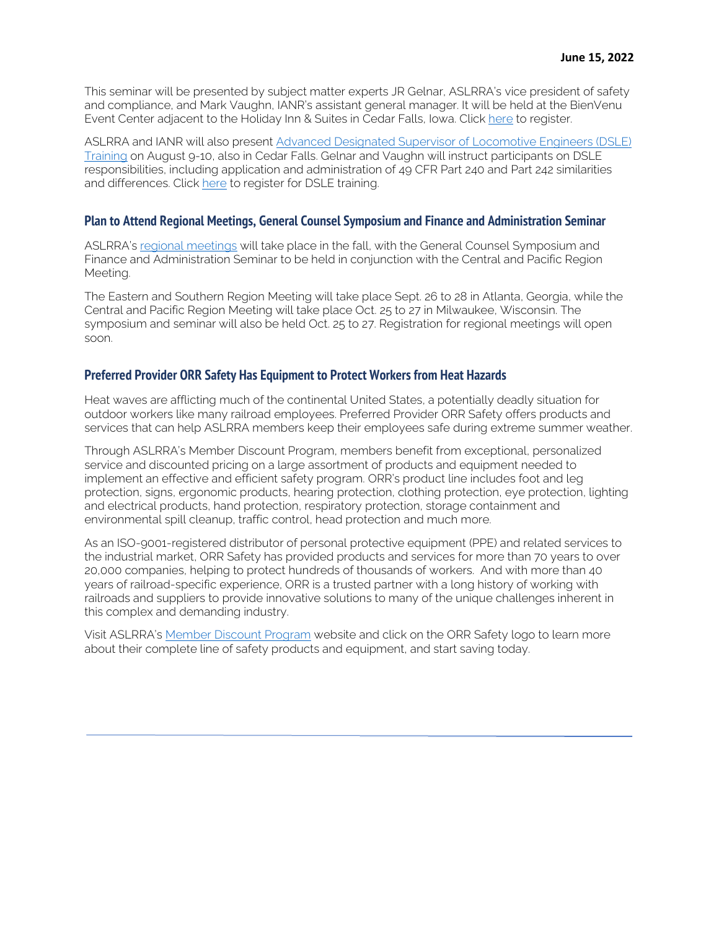This seminar will be presented by subject matter experts JR Gelnar, ASLRRA's vice president of safety and compliance, and Mark Vaughn, IANR's assistant general manager. It will be held at the BienVenu Event Center adjacent to the Holiday Inn & Suites in Cedar Falls, Iowa. Click [here](https://aslrra.force.com/s/login/?ec=302&inst=4W&startURL=%2Fidp%2Flogin%3Fapp%3D0sp4W000000wkde%26RelayState%3DaHR0cHM6Ly93d3cuYXNscnJhLm9yZy9lZHVjYXRpb24vdHJhaW5pbmctc2VtaW5hcnMvY29tcHJlaGVuc2l2ZS1nZW5lcmFsLWNvZGUtb2Ytb3BlcmF0aW5nLXJ1bGVzLWdjb3ItdHJhaW5pbmctc2VtaW5hci9yZWdpc3Rlci1ub3cv%26binding%3DHttpPost%26inresponseto%3DASLRRA) to register.

ASLRRA and IANR will also present [Advanced Designated Supervisor of Locomotive Engineers \(DSLE\)](https://www.aslrra.org/education/training-seminars/advanced-designated-supervisor-of-locomotive-engineers-dsle-training-seminar/)  [Training](https://www.aslrra.org/education/training-seminars/advanced-designated-supervisor-of-locomotive-engineers-dsle-training-seminar/) on August 9-10, also in Cedar Falls. Gelnar and Vaughn will instruct participants on DSLE responsibilities, including application and administration of 49 CFR Part 240 and Part 242 similarities and differences. Click [here](https://www.aslrra.org/sso/saml/send/?rurl=https%3A%2F%2Fwww%2Easlrra%2Eorg%2Feducation%2Ftraining%2Dseminars%2Fadvanced%2Ddesignated%2Dsupervisor%2Dof%2Dlocomotive%2Dengineers%2Ddsle%2Dtraining%2Dseminar%2Fregister%2Dnow%2F) to register for DSLE training.

#### **Plan to Attend Regional Meetings, General Counsel Symposium and Finance and Administration Seminar**

ASLRRA's [regional meetings](https://www.aslrra.org/events/regional-meetings/) will take place in the fall, with the General Counsel Symposium and Finance and Administration Seminar to be held in conjunction with the Central and Pacific Region Meeting.

The Eastern and Southern Region Meeting will take place Sept. 26 to 28 in Atlanta, Georgia, while the Central and Pacific Region Meeting will take place Oct. 25 to 27 in Milwaukee, Wisconsin. The symposium and seminar will also be held Oct. 25 to 27. Registration for regional meetings will open soon.

#### **Preferred Provider ORR Safety Has Equipment to Protect Workers from Heat Hazards**

Heat waves are afflicting much of the continental United States, a potentially deadly situation for outdoor workers like many railroad employees. Preferred Provider ORR Safety offers products and services that can help ASLRRA members keep their employees safe during extreme summer weather.

Through ASLRRA's Member Discount Program, members benefit from exceptional, personalized service and discounted pricing on a large assortment of products and equipment needed to implement an effective and efficient safety program. ORR's product line includes foot and leg protection, signs, ergonomic products, hearing protection, clothing protection, eye protection, lighting and electrical products, hand protection, respiratory protection, storage containment and environmental spill cleanup, traffic control, head protection and much more.

As an ISO-9001-registered distributor of personal protective equipment (PPE) and related services to the industrial market, ORR Safety has provided products and services for more than 70 years to over 20,000 companies, helping to protect hundreds of thousands of workers. And with more than 40 years of railroad-specific experience, ORR is a trusted partner with a long history of working with railroads and suppliers to provide innovative solutions to many of the unique challenges inherent in this complex and demanding industry.

Visit ASLRRA's [Member Discount Program](https://www.aslrra.org/member-resources/member-discount-program/) website and click on the ORR Safety logo to learn more about their complete line of safety products and equipment, and start saving today.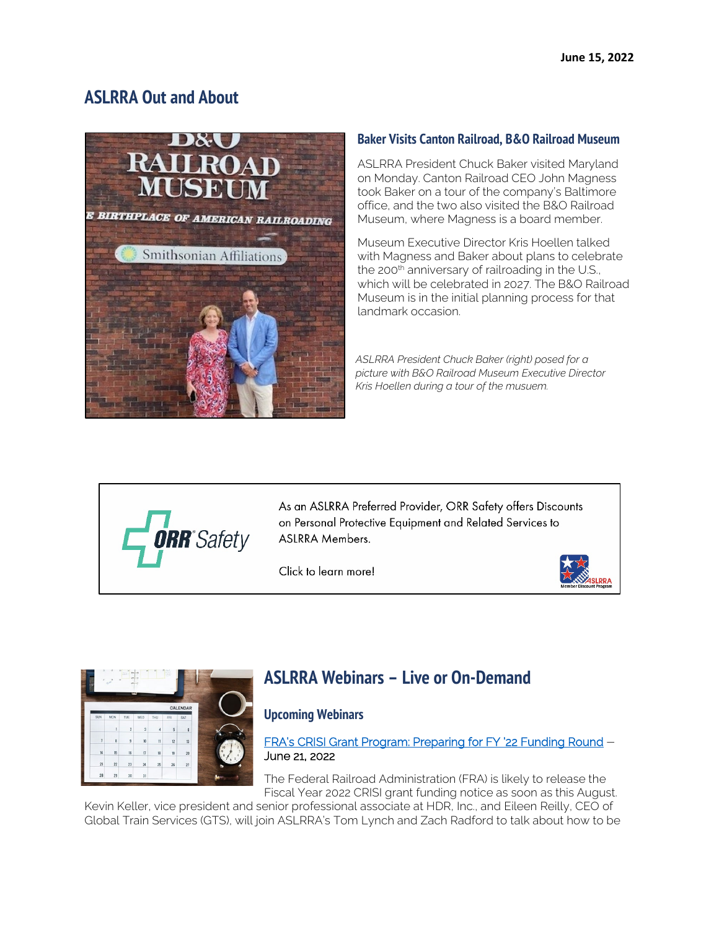# **ASLRRA Out and About**



# **Baker Visits Canton Railroad, B&O Railroad Museum**

ASLRRA President Chuck Baker visited Maryland on Monday. Canton Railroad CEO John Magness took Baker on a tour of the company's Baltimore office, and the two also visited the B&O Railroad Museum, where Magness is a board member.

Museum Executive Director Kris Hoellen talked with Magness and Baker about plans to celebrate the 200<sup>th</sup> anniversary of railroading in the U.S., which will be celebrated in 2027. The B&O Railroad Museum is in the initial planning process for that landmark occasion.

*ASLRRA President Chuck Baker (right) posed for a picture with B&O Railroad Museum Executive Director Kris Hoellen during a tour of the musuem.*



As an ASLRRA Preferred Provider, ORR Safety offers Discounts on Personal Protective Equipment and Related Services to **ASLRRA Members.** 

Click to learn more!





# **ASLRRA Webinars – Live or On-Demand**

# **Upcoming Webinars**

[FRA's CRISI Grant Program: Preparing for FY '22 Funding Round](https://www.aslrra.org/education/webinars/) – June 21, 2022

The Federal Railroad Administration (FRA) is likely to release the Fiscal Year 2022 CRISI grant funding notice as soon as this August.

Kevin Keller, vice president and senior professional associate at HDR, Inc., and Eileen Reilly, CEO of Global Train Services (GTS), will join ASLRRA's Tom Lynch and Zach Radford to talk about how to be